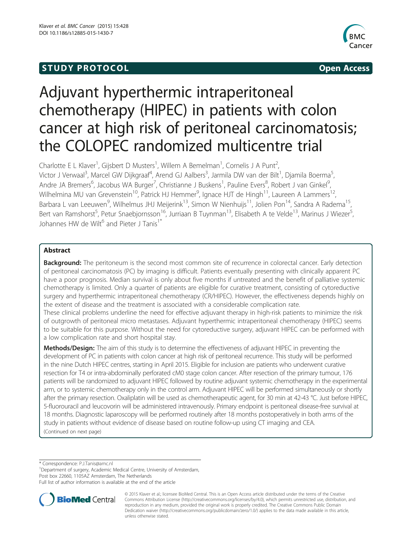# **STUDY PROTOCOL** And the set of the set of the set of the set of the set of the set of the set of the set of the set of the set of the set of the set of the set of the set of the set of the set of the set of the set of the



# Adjuvant hyperthermic intraperitoneal chemotherapy (HIPEC) in patients with colon cancer at high risk of peritoneal carcinomatosis; the COLOPEC randomized multicentre trial

Charlotte E L Klaver<sup>1</sup>, Gijsbert D Musters<sup>1</sup>, Willem A Bemelman<sup>1</sup>, Cornelis J A Punt<sup>2</sup> , Victor J Verwaal<sup>3</sup>, Marcel GW Dijkgraaf<sup>4</sup>, Arend GJ Aalbers<sup>3</sup>, Jarmila DW van der Bilt<sup>1</sup>, Djamila Boerma<sup>5</sup> , Andre JA Bremers<sup>6</sup>, Jacobus WA Burger<sup>7</sup>, Christianne J Buskens<sup>1</sup>, Pauline Evers<sup>8</sup>, Robert J van Ginkel<sup>9</sup> , Wilhelmina MU van Grevenstein<sup>10</sup>, Patrick HJ Hemmer<sup>9</sup>, Ignace HJT de Hingh<sup>11</sup>, Laureen A Lammers<sup>12</sup>, Barbara L van Leeuwen<sup>9</sup>, Wilhelmus JHJ Meijerink<sup>13</sup>, Simon W Nienhuijs<sup>11</sup>, Jolien Pon<sup>14</sup>, Sandra A Radema<sup>15</sup>, Bert van Ramshorst<sup>5</sup>, Petur Snaebjornsson<sup>16</sup>, Jurriaan B Tuynman<sup>13</sup>, Elisabeth A te Velde<sup>13</sup>, Marinus J Wiezer<sup>5</sup> , Johannes HW de Wilt<sup>6</sup> and Pieter J Tanis<sup>1\*</sup>

# Abstract

**Background:** The peritoneum is the second most common site of recurrence in colorectal cancer. Early detection of peritoneal carcinomatosis (PC) by imaging is difficult. Patients eventually presenting with clinically apparent PC have a poor prognosis. Median survival is only about five months if untreated and the benefit of palliative systemic chemotherapy is limited. Only a quarter of patients are eligible for curative treatment, consisting of cytoreductive surgery and hyperthermic intraperitoneal chemotherapy (CR/HIPEC). However, the effectiveness depends highly on the extent of disease and the treatment is associated with a considerable complication rate.

These clinical problems underline the need for effective adjuvant therapy in high-risk patients to minimize the risk of outgrowth of peritoneal micro metastases. Adjuvant hyperthermic intraperitoneal chemotherapy (HIPEC) seems to be suitable for this purpose. Without the need for cytoreductive surgery, adjuvant HIPEC can be performed with a low complication rate and short hospital stay.

Methods/Design: The aim of this study is to determine the effectiveness of adjuvant HIPEC in preventing the development of PC in patients with colon cancer at high risk of peritoneal recurrence. This study will be performed in the nine Dutch HIPEC centres, starting in April 2015. Eligible for inclusion are patients who underwent curative resection for T4 or intra-abdominally perforated cM0 stage colon cancer. After resection of the primary tumour, 176 patients will be randomized to adjuvant HIPEC followed by routine adjuvant systemic chemotherapy in the experimental arm, or to systemic chemotherapy only in the control arm. Adjuvant HIPEC will be performed simultaneously or shortly after the primary resection. Oxaliplatin will be used as chemotherapeutic agent, for 30 min at 42-43 °C. Just before HIPEC, 5-fluorouracil and leucovorin will be administered intravenously. Primary endpoint is peritoneal disease-free survival at 18 months. Diagnostic laparoscopy will be performed routinely after 18 months postoperatively in both arms of the study in patients without evidence of disease based on routine follow-up using CT imaging and CEA. (Continued on next page)

\* Correspondence: [P.J.Tanis@amc.nl](mailto:P.J.Tanis@amc.nl) <sup>1</sup>

<sup>1</sup>Department of surgery, Academic Medical Centre, University of Amsterdam,

Post box 22660, 1105AZ Amsterdam, The Netherlands

Full list of author information is available at the end of the article



© 2015 Klaver et al.; licensee BioMed Central. This is an Open Access article distributed under the terms of the Creative Commons Attribution License [\(http://creativecommons.org/licenses/by/4.0\)](http://creativecommons.org/licenses/by/4.0), which permits unrestricted use, distribution, and reproduction in any medium, provided the original work is properly credited. The Creative Commons Public Domain Dedication waiver [\(http://creativecommons.org/publicdomain/zero/1.0/](http://creativecommons.org/publicdomain/zero/1.0/)) applies to the data made available in this article, unless otherwise stated.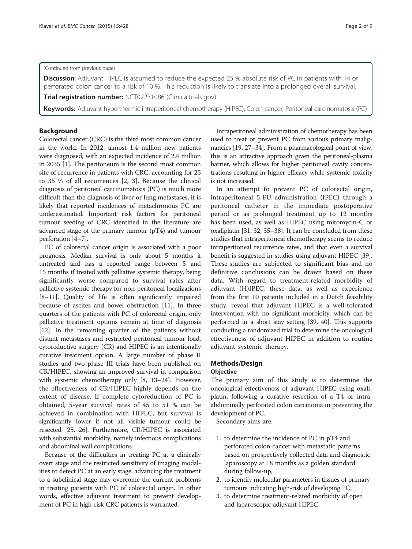# (Continued from previous page)

Discussion: Adjuvant HIPEC is assumed to reduce the expected 25 % absolute risk of PC in patients with T4 or perforated colon cancer to a risk of 10 %. This reduction is likely to translate into a prolonged overall survival.

Trial registration number: [NCT02231086](https://clinicaltrials.gov/ct2/show/NCT02231086?term=NCT02231086&rank=1) (Clinicaltrials.gov)

Keywords: Adjuvant hyperthermic intraperitoneal chemotherapy (HIPEC), Colon cancer, Peritoneal carcinomatosis (PC)

# Background

Colorectal cancer (CRC) is the third most common cancer in the world. In 2012, almost 1.4 million new patients were diagnosed, with an expected incidence of 2.4 million in 2035 [\[1](#page-7-0)]. The peritoneum is the second most common site of recurrence in patients with CRC, accounting for 25 to 35 % of all recurrences [[2, 3\]](#page-7-0). Because the clinical diagnosis of peritoneal carcinomatosis (PC) is much more difficult than the diagnosis of liver or lung metastases, it is likely that reported incidences of metachronous PC are underestimated. Important risk factors for peritoneal tumour seeding of CRC identified in the literature are advanced stage of the primary tumour (pT4) and tumour perforation [\[4](#page-7-0)–[7\]](#page-7-0).

PC of colorectal cancer origin is associated with a poor prognosis. Median survival is only about 5 months if untreated and has a reported range between 5 and 15 months if treated with palliative systemic therapy, being significantly worse compared to survival rates after palliative systemic therapy for non-peritoneal localizations [[8](#page-7-0)–[11](#page-7-0)]. Quality of life is often significantly impaired because of ascites and bowel obstruction [\[11\]](#page-7-0). In three quarters of the patients with PC of colorectal origin, only palliative treatment options remain at time of diagnosis [[12](#page-7-0)]. In the remaining quarter of the patients without distant metastases and restricted peritoneal tumour load, cytoreductive surgery (CR) and HIPEC is an intentionally curative treatment option. A large number of phase II studies and two phase III trials have been published on CR/HIPEC, showing an improved survival in comparison with systemic chemotherapy only [[8, 13](#page-7-0)–[24\]](#page-8-0). However, the effectiveness of CR/HIPEC highly depends on the extent of disease. If complete cytoreduction of PC is obtained, 5-year survival rates of 45 to 51 % can be achieved in combination with HIPEC, but survival is significantly lower if not all visible tumour could be resected [\[25, 26](#page-8-0)]. Furthermore, CR/HIPEC is associated with substantial morbidity, namely infectious complications and abdominal wall complications.

Because of the difficulties in treating PC at a clinically overt stage and the restricted sensitivity of imaging modalities to detect PC at an early stage, advancing the treatment to a subclinical stage may overcome the current problems in treating patients with PC of colorectal origin. In other words, effective adjuvant treatment to prevent development of PC in high-risk CRC patients is warranted.

Intraperitoneal administration of chemotherapy has been used to treat or prevent PC from various primary malignancies [[19](#page-7-0), [27](#page-8-0)–[34\]](#page-8-0). From a pharmacological point of view, this is an attractive approach given the peritoneal-plasma barrier, which allows for higher peritoneal cavity concentrations resulting in higher efficacy while systemic toxicity is not increased.

In an attempt to prevent PC of colorectal origin, intraperitoneal 5-FU administration (IPEC) through a peritoneal catheter in the immediate postoperative period or as prolonged treatment up to 12 months has been used, as well as HIPEC using mitomycin-C or oxaliplatin [\[31, 32](#page-8-0), [35](#page-8-0)–[38](#page-8-0)]. It can be concluded from these studies that intraperitoneal chemotherapy seems to reduce intraperitoneal recurrence rates, and that even a survival benefit is suggested in studies using adjuvant HIPEC [[39](#page-8-0)]. These studies are subjected to significant bias and no definitive conclusions can be drawn based on these data. With regard to treatment-related morbidity of adjuvant (H)IPEC, these data, as well as experience from the first 10 patients included in a Dutch feasibility study, reveal that adjuvant HIPEC is a well-tolerated intervention with no significant morbidity, which can be performed in a short stay setting [\[39, 40](#page-8-0)]. This supports conducting a randomized trial to determine the oncological effectiveness of adjuvant HIPEC in addition to routine adjuvant systemic therapy.

# Methods/Design **Objective**

The primary aim of this study is to determine the oncological effectiveness of adjuvant HIPEC using oxaliplatin, following a curative resection of a T4 or intraabdominally perforated colon carcinoma in preventing the development of PC.

Secondary aims are:

- 1. to determine the incidence of PC in pT4 and perforated colon cancer with metastatic patterns based on prospectively collected data and diagnostic laparoscopy at 18 months as a golden standard during follow-up;
- 2. to identify molecular parameters in tissues of primary tumours indicating high-risk of developing PC;
- 3. to determine treatment-related morbidity of open and laparoscopic adjuvant HIPEC;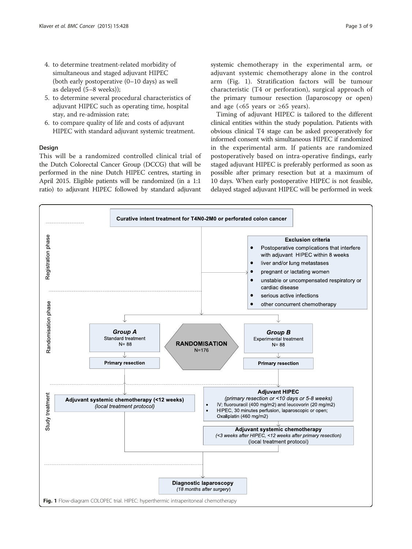- 4. to determine treatment-related morbidity of simultaneous and staged adjuvant HIPEC (both early postoperative (0–10 days) as well as delayed (5–8 weeks));
- 5. to determine several procedural characteristics of adjuvant HIPEC such as operating time, hospital stay, and re-admission rate;
- 6. to compare quality of life and costs of adjuvant HIPEC with standard adjuvant systemic treatment.

# Design

This will be a randomized controlled clinical trial of the Dutch Colorectal Cancer Group (DCCG) that will be performed in the nine Dutch HIPEC centres, starting in April 2015. Eligible patients will be randomized (in a 1:1 ratio) to adjuvant HIPEC followed by standard adjuvant systemic chemotherapy in the experimental arm, or adjuvant systemic chemotherapy alone in the control arm (Fig. 1). Stratification factors will be tumour characteristic (T4 or perforation), surgical approach of the primary tumour resection (laparoscopy or open) and age ( $<65$  years or  $\geq 65$  years).

Timing of adjuvant HIPEC is tailored to the different clinical entities within the study population. Patients with obvious clinical T4 stage can be asked preoperatively for informed consent with simultaneous HIPEC if randomized in the experimental arm. If patients are randomized postoperatively based on intra-operative findings, early staged adjuvant HIPEC is preferably performed as soon as possible after primary resection but at a maximum of 10 days. When early postoperative HIPEC is not feasible, delayed staged adjuvant HIPEC will be performed in week

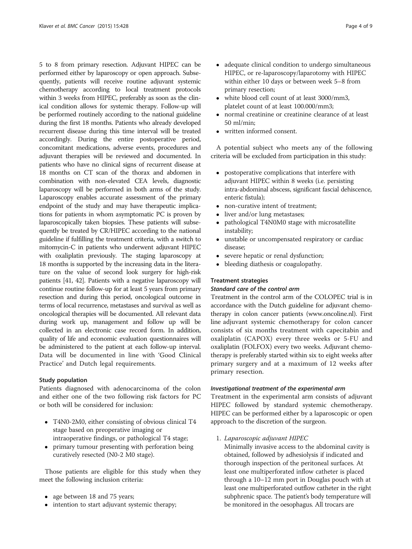5 to 8 from primary resection. Adjuvant HIPEC can be performed either by laparoscopy or open approach. Subsequently, patients will receive routine adjuvant systemic chemotherapy according to local treatment protocols within 3 weeks from HIPEC, preferably as soon as the clinical condition allows for systemic therapy. Follow-up will be performed routinely according to the national guideline during the first 18 months. Patients who already developed recurrent disease during this time interval will be treated accordingly. During the entire postoperative period, concomitant medications, adverse events, procedures and adjuvant therapies will be reviewed and documented. In patients who have no clinical signs of recurrent disease at 18 months on CT scan of the thorax and abdomen in combination with non-elevated CEA levels, diagnostic laparoscopy will be performed in both arms of the study. Laparoscopy enables accurate assessment of the primary endpoint of the study and may have therapeutic implications for patients in whom asymptomatic PC is proven by laparoscopically taken biopsies. These patients will subsequently be treated by CR/HIPEC according to the national guideline if fulfilling the treatment criteria, with a switch to mitomycin-C in patients who underwent adjuvant HIPEC with oxaliplatin previously. The staging laparoscopy at 18 months is supported by the increasing data in the literature on the value of second look surgery for high-risk patients [\[41, 42\]](#page-8-0). Patients with a negative laparoscopy will continue routine follow-up for at least 5 years from primary resection and during this period, oncological outcome in terms of local recurrence, metastases and survival as well as oncological therapies will be documented. All relevant data during work up, management and follow up will be collected in an electronic case record form. In addition, quality of life and economic evaluation questionnaires will be administered to the patient at each follow-up interval. Data will be documented in line with 'Good Clinical Practice' and Dutch legal requirements.

#### Study population

Patients diagnosed with adenocarcinoma of the colon and either one of the two following risk factors for PC or both will be considered for inclusion:

- T4N0-2M0, either consisting of obvious clinical T4 stage based on preoperative imaging or intraoperative findings, or pathological T4 stage;
- primary tumour presenting with perforation being curatively resected (N0-2 M0 stage).

Those patients are eligible for this study when they meet the following inclusion criteria:

- age between 18 and 75 years;
- intention to start adjuvant systemic therapy;
- adequate clinical condition to undergo simultaneous HIPEC, or re-laparoscopy/laparotomy with HIPEC within either 10 days or between week 5–8 from primary resection;
- white blood cell count of at least 3000/mm3, platelet count of at least 100.000/mm3;
- normal creatinine or creatinine clearance of at least 50 ml/min;
- written informed consent.

A potential subject who meets any of the following criteria will be excluded from participation in this study:

- postoperative complications that interfere with adjuvant HIPEC within 8 weeks (i.e. persisting intra-abdominal abscess, significant fascial dehiscence, enteric fistula);
- non-curative intent of treatment;
- liver and/or lung metastases;
- pathological T4N0M0 stage with microsatellite instability;
- unstable or uncompensated respiratory or cardiac disease;
- severe hepatic or renal dysfunction;<br>• bleeding diathesis or coagulopathy
- bleeding diathesis or coagulopathy.

# Treatment strategies

#### Standard care of the control arm

Treatment in the control arm of the COLOPEC trial is in accordance with the Dutch guideline for adjuvant chemotherapy in colon cancer patients ([www.oncoline.nl](http://www.oncoline.nl)). First line adjuvant systemic chemotherapy for colon cancer consists of six months treatment with capecitabin and oxaliplatin (CAPOX) every three weeks or 5-FU and oxaliplatin (FOLFOX) every two weeks. Adjuvant chemotherapy is preferably started within six to eight weeks after primary surgery and at a maximum of 12 weeks after primary resection.

# Investigational treatment of the experimental arm

Treatment in the experimental arm consists of adjuvant HIPEC followed by standard systemic chemotherapy. HIPEC can be performed either by a laparoscopic or open approach to the discretion of the surgeon.

1. Laparoscopic adjuvant HIPEC

Minimally invasive access to the abdominal cavity is obtained, followed by adhesiolysis if indicated and thorough inspection of the peritoneal surfaces. At least one multiperforated inflow catheter is placed through a 10–12 mm port in Douglas pouch with at least one multiperforated outflow catheter in the right subphrenic space. The patient's body temperature will be monitored in the oesophagus. All trocars are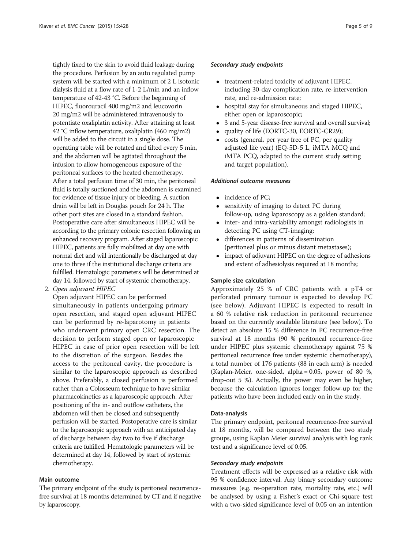tightly fixed to the skin to avoid fluid leakage during the procedure. Perfusion by an auto regulated pump system will be started with a minimum of 2 L isotonic dialysis fluid at a flow rate of 1-2 L/min and an inflow temperature of 42-43 °C. Before the beginning of HIPEC, fluorouracil 400 mg/m2 and leucovorin 20 mg/m2 will be administered intravenously to potentiate oxaliplatin activity. After attaining at least 42 °C inflow temperature, oxaliplatin (460 mg/m2) will be added to the circuit in a single dose. The operating table will be rotated and tilted every 5 min, and the abdomen will be agitated throughout the infusion to allow homogeneous exposure of the peritoneal surfaces to the heated chemotherapy. After a total perfusion time of 30 min, the peritoneal fluid is totally suctioned and the abdomen is examined for evidence of tissue injury or bleeding. A suction drain will be left in Douglas pouch for 24 h. The other port sites are closed in a standard fashion. Postoperative care after simultaneous HIPEC will be according to the primary colonic resection following an enhanced recovery program. After staged laparoscopic HIPEC, patients are fully mobilized at day one with normal diet and will intentionally be discharged at day one to three if the institutional discharge criteria are fulfilled. Hematologic parameters will be determined at day 14, followed by start of systemic chemotherapy.

2. Open adjuvant HIPEC

Open adjuvant HIPEC can be performed simultaneously in patients undergoing primary open resection, and staged open adjuvant HIPEC can be performed by re-laparotomy in patients who underwent primary open CRC resection. The decision to perform staged open or laparoscopic HIPEC in case of prior open resection will be left to the discretion of the surgeon. Besides the access to the peritoneal cavity, the procedure is similar to the laparoscopic approach as described above. Preferably, a closed perfusion is performed rather than a Colosseum technique to have similar pharmacokinetics as a laparoscopic approach. After positioning of the in- and outflow catheters, the abdomen will then be closed and subsequently perfusion will be started. Postoperative care is similar to the laparoscopic approach with an anticipated day of discharge between day two to five if discharge criteria are fulfilled. Hematologic parameters will be determined at day 14, followed by start of systemic chemotherapy.

# Main outcome

The primary endpoint of the study is peritoneal recurrencefree survival at 18 months determined by CT and if negative by laparoscopy.

#### Secondary study endpoints

- treatment-related toxicity of adjuvant HIPEC, including 30-day complication rate, re-intervention rate, and re-admission rate;
- hospital stay for simultaneous and staged HIPEC, either open or laparoscopic;
- 3 and 5-year disease-free survival and overall survival;
- quality of life (EORTC-30, EORTC-CR29);
- costs (general, per year free of PC, per quality adjusted life year) (EQ-5D-5 L, iMTA MCQ and iMTA PCQ, adapted to the current study setting and target population).

#### Additional outcome measures

- incidence of PC:
- sensitivity of imaging to detect PC during follow-up, using laparoscopy as a golden standard;
- inter- and intra-variability amongst radiologists in detecting PC using CT-imaging;
- differences in patterns of dissemination (peritoneal plus or minus distant metastases);
- impact of adjuvant HIPEC on the degree of adhesions and extent of adhesiolysis required at 18 months;

# Sample size calculation

Approximately 25 % of CRC patients with a pT4 or perforated primary tumour is expected to develop PC (see below). Adjuvant HIPEC is expected to result in a 60 % relative risk reduction in peritoneal recurrence based on the currently available literature (see below). To detect an absolute 15 % difference in PC recurrence-free survival at 18 months (90 % peritoneal recurrence-free under HIPEC plus systemic chemotherapy against 75 % peritoneal recurrence free under systemic chemotherapy), a total number of 176 patients (88 in each arm) is needed (Kaplan-Meier, one-sided, alpha = 0.05, power of 80 %, drop-out 5 %). Actually, the power may even be higher, because the calculation ignores longer follow-up for the patients who have been included early on in the study.

# Data-analysis

The primary endpoint, peritoneal recurrence-free survival at 18 months, will be compared between the two study groups, using Kaplan Meier survival analysis with log rank test and a significance level of 0.05.

# Secondary study endpoints

Treatment effects will be expressed as a relative risk with 95 % confidence interval. Any binary secondary outcome measures (e.g. re-operation rate, mortality rate, etc.) will be analysed by using a Fisher's exact or Chi-square test with a two-sided significance level of 0.05 on an intention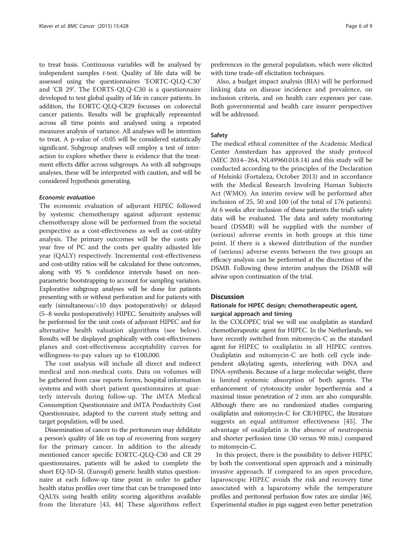to treat basis. Continuous variables will be analysed by independent samples  $t$ -test. Quality of life data will be assessed using the questionnaires 'EORTC-QLQ-C30' and 'CR 29'. The EORTS-QLQ-C30 is a questionnaire developed to test global quality of life in cancer patients. In addition, the EORTC-QLQ-CR29 focusses on colorectal cancer patients. Results will be graphically represented across all time points and analysed using a repeated measures analysis of variance. All analyses will be intention to treat. A p-value of <0.05 will be considered statistically significant. Subgroup analyses will employ a test of interaction to explore whether there is evidence that the treatment effects differ across subgroups. As with all subgroups analyses, these will be interpreted with caution, and will be considered hypothesis generating.

### Economic evaluation

The economic evaluation of adjuvant HIPEC followed by systemic chemotherapy against adjuvant systemic chemotherapy alone will be performed from the societal perspective as a cost-effectiveness as well as cost-utility analysis. The primary outcomes will be the costs per year free of PC and the costs per quality adjusted life year (QALY) respectively. Incremental cost-effectiveness and cost-utility ratios will be calculated for these outcomes, along with 95 % confidence intervals based on nonparametric bootstrapping to account for sampling variation. Explorative subgroup analyses will be done for patients presenting with or without perforation and for patients with early (simultaneous/<10 days postoperatively) or delayed (5–8 weeks postoperatively) HIPEC. Sensitivity analyses will be performed for the unit costs of adjuvant HIPEC and for alternative health valuation algorithms (see below). Results will be displayed graphically with cost-effectiveness planes and cost-effectiveness acceptability curves for willingness-to-pay values up to €100,000.

The cost analysis will include all direct and indirect medical and non-medical costs. Data on volumes will be gathered from case reports forms, hospital information systems and with short patient questionnaires at quarterly intervals during follow-up. The iMTA Medical Consumption Questionnaire and iMTA Productivity Cost Questionnaire, adapted to the current study setting and target population, will be used.

Dissemination of cancer to the peritoneum may debilitate a person's quality of life on top of recovering from surgery for the primary cancer. In addition to the already mentioned cancer specific EORTC-QLQ-C30 and CR 29 questionnaires, patients will be asked to complete the short EQ-5D-5L (Euroqol) generic health status questionnaire at each follow-up time point in order to gather health status profiles over time that can be transposed into QALYs using health utility scoring algorithms available from the literature [[43, 44\]](#page-8-0) These algorithms reflect

preferences in the general population, which were elicited with time trade-off elicitation techniques.

Also, a budget impact analysis (BIA) will be performed linking data on disease incidence and prevalence, on inclusion criteria, and on health care expenses per case. Both governmental and health care insurer perspectives will be addressed.

# Safety

The medical ethical committee of the Academic Medical Center Amsterdam has approved the study protocol (MEC 2014–264, NL49960.018.14) and this study will be conducted according to the principles of the Declaration of Helsinki (Fortaleza, October 2013) and in accordance with the Medical Research Involving Human Subjects Act (WMO). An interim review will be performed after inclusion of 25, 50 and 100 (of the total of 176 patients). At 6 weeks after inclusion of these patients the trial's safety data will be evaluated. The data and safety monitoring board (DSMB) will be supplied with the number of (serious) adverse events in both groups at this time point. If there is a skewed distribution of the number of (serious) adverse events between the two groups an efficacy analysis can be performed at the discretion of the DSMB. Following these interim analyses the DSMB will advise upon continuation of the trial.

### **Discussion**

# Rationale for HIPEC design; chemotherapeutic agent, surgical approach and timing

In the COLOPEC trial we will use oxaliplatin as standard chemotherapeutic agent for HIPEC. In the Netherlands, we have recently switched from mitomycin-C as the standard agent for HIPEC to oxaliplatin in all HIPEC centres. Oxaliplatin and mitomycin-C are both cell cycle independent alkylating agents, interfering with DNA and DNA-synthesis. Because of a large molecular weight, there is limited systemic absorption of both agents. The enhancement of cytotoxicity under hyperthermia and a maximal tissue penetration of 2 mm. are also comparable. Although there are no randomized studies comparing oxaliplatin and mitomycin-C for CR/HIPEC, the literature suggests an equal antitumor effectiveness [\[45](#page-8-0)]. The advantage of oxaliplatin is the absence of neutropenia and shorter perfusion time (30 versus 90 min.) compared to mitomycin-C.

In this project, there is the possibility to deliver HIPEC by both the conventional open approach and a minimally invasive approach. If compared to an open procedure, laparoscopic HIPEC avoids the risk and recovery time associated with a laparotomy while the temperature profiles and peritoneal perfusion flow rates are similar [\[46](#page-8-0)]. Experimental studies in pigs suggest even better penetration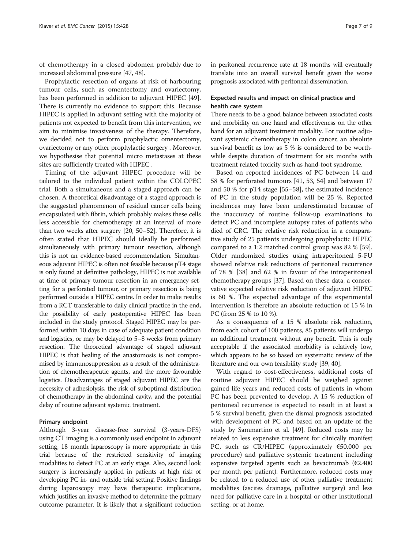of chemotherapy in a closed abdomen probably due to increased abdominal pressure [\[47, 48\]](#page-8-0).

Prophylactic resection of organs at risk of harbouring tumour cells, such as omentectomy and ovariectomy, has been performed in addition to adjuvant HIPEC [\[49](#page-8-0)]. There is currently no evidence to support this. Because HIPEC is applied in adjuvant setting with the majority of patients not expected to benefit from this intervention, we aim to minimise invasiveness of the therapy. Therefore, we decided not to perform prophylactic omentectomy, ovariectomy or any other prophylactic surgery . Moreover, we hypothesise that potential micro metastases at these sites are sufficiently treated with HIPEC .

Timing of the adjuvant HIPEC procedure will be tailored to the individual patient within the COLOPEC trial. Both a simultaneous and a staged approach can be chosen. A theoretical disadvantage of a staged approach is the suggested phenomenon of residual cancer cells being encapsulated with fibrin, which probably makes these cells less accessible for chemotherapy at an interval of more than two weeks after surgery [\[20, 50](#page-8-0)–[52\]](#page-8-0). Therefore, it is often stated that HIPEC should ideally be performed simultaneously with primary tumour resection, although this is not an evidence-based recommendation. Simultaneous adjuvant HIPEC is often not feasible because pT4 stage is only found at definitive pathology, HIPEC is not available at time of primary tumour resection in an emergency setting for a perforated tumour, or primary resection is being performed outside a HIPEC centre. In order to make results from a RCT transferable to daily clinical practice in the end, the possibility of early postoperative HIPEC has been included in the study protocol. Staged HIPEC may be performed within 10 days in case of adequate patient condition and logistics, or may be delayed to 5–8 weeks from primary resection. The theoretical advantage of staged adjuvant HIPEC is that healing of the anastomosis is not compromised by immunosuppression as a result of the administration of chemotherapeutic agents, and the more favourable logistics. Disadvantages of staged adjuvant HIPEC are the necessity of adhesiolysis, the risk of suboptimal distribution of chemotherapy in the abdominal cavity, and the potential delay of routine adjuvant systemic treatment.

#### Primary endpoint

Although 3-year disease-free survival (3-years-DFS) using CT imaging is a commonly used endpoint in adjuvant setting, 18 month laparoscopy is more appropriate in this trial because of the restricted sensitivity of imaging modalities to detect PC at an early stage. Also, second look surgery is increasingly applied in patients at high risk of developing PC in- and outside trial setting. Positive findings during laparoscopy may have therapeutic implications, which justifies an invasive method to determine the primary outcome parameter. It is likely that a significant reduction in peritoneal recurrence rate at 18 months will eventually translate into an overall survival benefit given the worse prognosis associated with peritoneal dissemination.

# Expected results and impact on clinical practice and health care system

There needs to be a good balance between associated costs and morbidity on one hand and effectiveness on the other hand for an adjuvant treatment modality. For routine adjuvant systemic chemotherapy in colon cancer, an absolute survival benefit as low as 5 % is considered to be worthwhile despite duration of treatment for six months with treatment related toxicity such as hand-foot syndrome.

Based on reported incidences of PC between 14 and 58 % for perforated tumours [[41, 53, 54\]](#page-8-0) and between 17 and 50 % for pT4 stage [\[55](#page-8-0)–[58\]](#page-8-0), the estimated incidence of PC in the study population will be 25 %. Reported incidences may have been underestimated because of the inaccuracy of routine follow-up examinations to detect PC and incomplete autopsy rates of patients who died of CRC. The relative risk reduction in a comparative study of 25 patients undergoing prophylactic HIPEC compared to a 1:2 matched control group was 82 % [\[59](#page-8-0)]. Older randomized studies using intraperitoneal 5-FU showed relative risk reductions of peritoneal recurrence of 78 % [\[38](#page-8-0)] and 62 % in favour of the intraperitoneal chemotherapy groups [\[37\]](#page-8-0). Based on these data, a conservative expected relative risk reduction of adjuvant HIPEC is 60 %. The expected advantage of the experimental intervention is therefore an absolute reduction of 15 % in PC (from 25 % to 10 %).

As a consequence of a 15 % absolute risk reduction, from each cohort of 100 patients, 85 patients will undergo an additional treatment without any benefit. This is only acceptable if the associated morbidity is relatively low, which appears to be so based on systematic review of the literature and our own feasibility study [[39](#page-8-0), [40\]](#page-8-0).

With regard to cost-effectiveness, additional costs of routine adjuvant HIPEC should be weighed against gained life years and reduced costs of patients in whom PC has been prevented to develop. A 15 % reduction of peritoneal recurrence is expected to result in at least a 5 % survival benefit, given the dismal prognosis associated with development of PC and based on an update of the study by Sammartino et al. [[49\]](#page-8-0). Reduced costs may be related to less expensive treatment for clinically manifest PC, such as CR/HIPEC (approximately €50.000 per procedure) and palliative systemic treatment including expensive targeted agents such as bevacizumab ( $E2.400$ per month per patient). Furthermore, reduced costs may be related to a reduced use of other palliative treatment modalities (ascites drainage, palliative surgery) and less need for palliative care in a hospital or other institutional setting, or at home.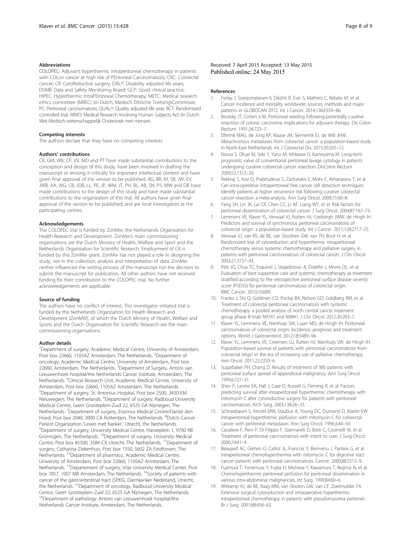#### <span id="page-7-0"></span>**Abbreviations**

COLOPEC: Adjuvant hyperthermic intraperitoneal chemotherapy in patients with COLon cancer at high risk of PEritoneal Carcinomatosis; CRC: Colorectal cancer; CR: CytoReductive surgery; DALY: Disability adjusted life years; DSMB: Data and Safety Monitoring Board; GCP: Good clinical practice; HIPEC: Hyperthermic IntraPEritoneal Chemotherapy; METC: Medical research ethics committee (MREC) (in Dutch, Medisch Ethische ToetsingsCommissie; PC: Peritoneal carcinomatosis; QUALY: Quality adjusted life year; RCT: Randomized controlled trial; WMO: Medical Research Involving Human Subjects Act (in Dutch: Wet Medisch-wetenschappelijk Onderzoek met mensen.

#### Competing interests

The authors declare that they have no competing interests.

#### Authors' contributions

CK, GM, WB, CP, VV, MD and PT have made substantial contributions to the conception and design of this study, have been involved in drafting the manuscript or revising it critically for important intellectual content and have given final approval of the version to be published. RG, BR, IH, SR, JW, EV, JWB, AA, WG, CB, JDB, LL, PE, JP, WM, JT, PH, BL, AB, SN, PS, MW and DB have made contributions to the design of this study and have made substantial contributions to the organization of this trial. All authors have given final approval of the version to be published; and are local investigators at the participating centres.

#### Acknowledgements

The COLOPEC trial is funded by ZonMw, the Netherlands Organisation for Health Research and Development. ZonMw's main commissioning organisations are the Dutch Ministry of Health, Welfare and Sport and the Netherlands Organisation for Scientific Research. Employment of CK is funded by this ZonMw grant. ZonMw has not played a role in designing the study, nor in the collection, analysis and interpretation of data. ZonMw neither influenced the writing process of the manuscript nor the decision to submit the manuscript for publication. All other authors have not received funding for their contribution to the COLOPEC trial. No further acknowledgements are applicable.

#### Source of funding

The authors have no conflict of interest. This investigator initiated trial is funded by the Netherlands Organisation for Health Research and Development (ZonMW), of which the Dutch Ministry of Health, Welfare and Sports and the Dutch Organisation for Scientific Research are the main commissioning organisations.

#### Author details

<sup>1</sup>Department of surgery, Academic Medical Centre, University of Amsterdam, Post box 22660, 1105AZ Amsterdam, The Netherlands. <sup>2</sup>Department of oncology, Academic Medical Centre, University of Amsterdam, Post box 22660, Amsterdam, The Netherlands. <sup>3</sup>Department of Surgery, Antoni van Leeuwenhoek hospital/the Netherlands Cancer Institute, Amsterdam, The Netherlands. <sup>4</sup>Clinical Research Unit, Academic Medical Centre, University of Amsterdam, Post box 22660, 1105AZ Amsterdam, The Netherlands. 5 Department of surgery, St. Antonius Hospital, Post box 2500, 3430 EM Nieuwegein, The Netherlands. <sup>6</sup>Department of surgery, Radboud University Medical Centre, Geert Grooteplein-Zuid 22, 6525 GA Nijmegen, The Netherlands. <sup>7</sup>Department of surgery, Erasmus Medical Centre/Daniel den Hoed, Post box 2040, 3000 CA Rotterdam, The Netherlands. <sup>8</sup>Dutch Cancer Patient Organization 'Leven met Kanker', Utrecht, the Netherlands. <sup>9</sup> <sup>9</sup>Department of surgery, University Medical Centre, Hanzeplein 1, 9700 RB Groningen, The Netherlands. 10Department of surgery, University Medical Centre, Post box 85500, 3584 CX Utrecht, The Netherlands. <sup>11</sup>Department of surgery, Catharina Ziekenhuis, Post box 1350, 5602 ZA Eindhoven, The Netherlands. 12Department of pharmacy, Academic Medical Centre, University of Amsterdam, Post box 22660, 1105AZ Amsterdam, The Netherlands. 13Departement of surgery, Vrije University Medical Center, Post box 7057, 1007 MB Amsterdam, The Netherlands. <sup>14</sup>Society of patients with cancer of the gastrointestinal tract (SPKS), Darmkanker Nederland, Utrecht, the Netherlands. 15Department of oncology, Radboud University Medical Centre, Geert Grooteplein-Zuid 22, 6525 GA Nijmegen, The Netherlands. <sup>16</sup>Department of pathology, Antoni van Leeuwenhoek hospital/the Netherlands Cancer Institute, Amsterdam, The Netherlands.

#### Received: 7 April 2015 Accepted: 13 May 2015 Published online: 24 May 2015

#### References

- 1. Ferlay J, Soerjomataram II, Dikshit R, Eser S, Mathers C, Rebelo M, et al. Cancer incidence and mortality worldwide: sources, methods and major patterns in GLOBOCAN 2012. Int J Cancer. 2014;136:E359–86.
- 2. Brodsky JT, Cohen a M. Peritoneal seeding following potentially curative resection of colonic carcinoma: implications for adjuvant therapy. Dis Colon Rectum. 1991;34:723–7.
- 3. Elferink MAG, de Jong KP, Klaase JM, Siemerink EJ, de Wilt JHW. Metachronous metastases from colorectal cancer: a population-based study in North-East Netherlands. Int J Colorectal Dis. 2015;30:205–12.
- 4. Noura S, Ohue M, Seki Y, Yano M, Ishikawa O, Kameyama M. Long-term prognostic value of conventional peritoneal lavage cytology in patients undergoing curative colorectal cancer resection. DisColon Rectum. 2009;52:1312–20.
- 5. Rekhraj S, Aziz O, Prabhudesai S, Zacharakis E, Mohr F, Athanasiou T, et al. Can intra-operative intraperitoneal free cancer cell detection techniques identify patients at higher recurrence risk following curative colorectal cancer resection: a meta-analysis. Ann Surg Oncol. 2008;15:60–8.
- 6. Yang SH, Lin JK, Lai CR, Chen CC, Li AF, Liang WY, et al. Risk factors for peritoneal dissemination of colorectal cancer. J Surg Oncol. 2004;87:167–73.
- 7. Lemmens VE, Klaver YL, Verwaal VJ, Rutten HJ, Coebergh JWW, de Hingh IH. Predictors and survival of synchronous peritoneal carcinomatosis of colorectal origin: a population-based study. Int J Cancer. 2011;128:2717–25.
- 8. Verwaal VJ, van RS, de BE, van Sloothen GW, van TH, Boot H, et al. Randomized trial of cytoreduction and hyperthermic intraperitoneal chemotherapy versus systemic chemotherapy and palliative surgery in patients with peritoneal carcinomatosis of colorectal cancer. J Clin Oncol. 2003;21:3737–43.
- 9. Pelz JO, Chua TC, Esquivel J, Stojadinovic A, Doerfer J, Morris DL, et al. Evaluation of best supportive care and systemic chemotherapy as treatment stratified according to the retrospective peritoneal surface disease severity score (PSDSS) for peritoneal carcinomatosis of colorectal origin. BMC Cancer. 2010;10:689.
- 10. Franko J, Shi Q, Goldman CD, Pockaj BA, Nelson GD, Goldberg RM, et al. Treatment of colorectal peritoneal carcinomatosis with systemic chemotherapy: a pooled analysis of north central cancer treatment group phase III trials N9741 and N9841. J Clin Oncol. 2012;30:263–7.
- 11. Klaver YL, Lemmens VE, Nienhuijs SW, Luyer MD, de Hingh IH. Peritoneal carcinomatosis of colorectal origin: Incidence, prognosis and treatment options. World J Gastroenterol. 2012;18:5489–94.
- 12. Klaver YL, Lemmens VE, Creemers GJ, Rutten HJ, Nienhuijs SW, de Hingh IH. Population-based survival of patients with peritoneal carcinomatosis from colorectal origin in the era of increasing use of palliative chemotherapy. Ann Oncol. 2011;22:2250–6.
- 13. Sugarbaker PH, Chang D. Results of treatment of 385 patients with peritoneal surface spread of appendiceal malignancy. Ann Surg Oncol. 1999;6:727–31.
- 14. Shen P, Levine EA, Hall J, Case D, Russell G, Fleming R, et al. Factors predicting survival after intraperitoneal hyperthermic chemotherapy with mitomycin C after cytoreductive surgery for patients with peritoneal carcinomatosis. Arch Surg. 2003;138:26–33.
- 15. Schneebaum S, Arnold MW, Staubus A, Young DC, Dumond D, Martin EW. Intraperitoneal hyperthermic perfusion with mitomycin C for colorectal cancer with peritoneal metastases. Ann Surg Oncol. 1996;3:44–50.
- 16. Cavaliere F, Perri P, Di Filippo F, Giannarelli D, Botti C, Cosimelli M, et al. Treatment of peritoneal carcinomatosis with intent to cure. J Surg Oncol. 2000;74:41–4.
- 17. Beaujard AC, Glehen O, Caillot JL, Francois Y, Bienvenu J, Panteix G, et al. Intraperitoneal chemohyperthermia with mitomycin C for digestive tract cancer patients with peritoneal carcinomatosis. Cancer. 2000;88:2512–9.
- 18. Fujimura T, Yonemura Y, Fujita H, Michiwa Y, Kawamura T, Nojima N, et al. Chemohyperthermic peritoneal perfusion for peritoneal dissemination in various intra-abdominal malignancies. Int Surg. 1999;84:60–6.
- 19. Witkamp AJ, de BE, Kaag MM, van Slooten GW, van CF, Zoetmulder FA. Extensive surgical cytoreduction and intraoperative hyperthermic intraperitoneal chemotherapy in patients with pseudomyxoma peritonei. Br J Surg. 2001;88:458–63.